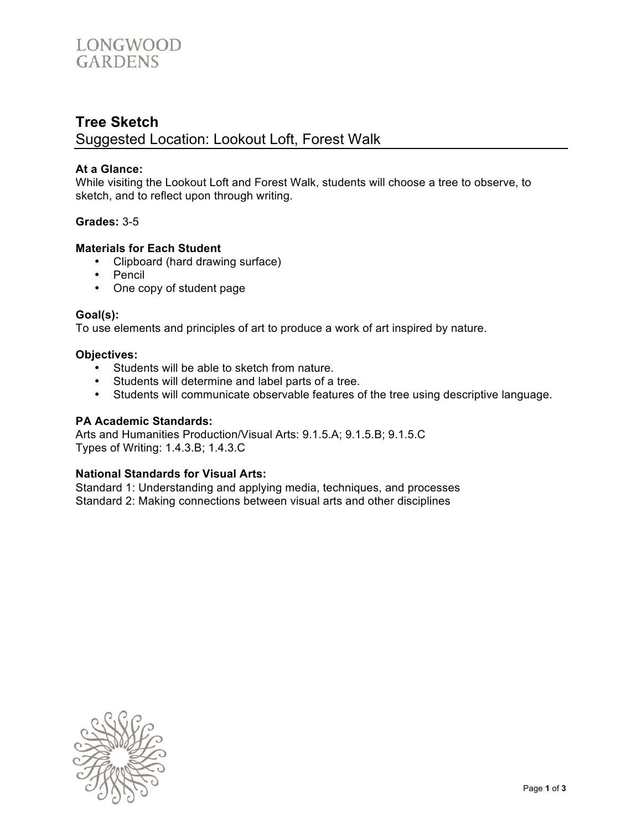

# **Tree Sketch** Suggested Location: Lookout Loft, Forest Walk

## **At a Glance:**

While visiting the Lookout Loft and Forest Walk, students will choose a tree to observe, to sketch, and to reflect upon through writing.

## **Grades:** 3-5

## **Materials for Each Student**

- Clipboard (hard drawing surface)
- Pencil
- One copy of student page

#### **Goal(s):**

To use elements and principles of art to produce a work of art inspired by nature.

## **Objectives:**

- Students will be able to sketch from nature.
- Students will determine and label parts of a tree.
- Students will communicate observable features of the tree using descriptive language.

#### **PA Academic Standards:**

Arts and Humanities Production/Visual Arts: 9.1.5.A; 9.1.5.B; 9.1.5.C Types of Writing: 1.4.3.B; 1.4.3.C

# **National Standards for Visual Arts:**

Standard 1: Understanding and applying media, techniques, and processes Standard 2: Making connections between visual arts and other disciplines

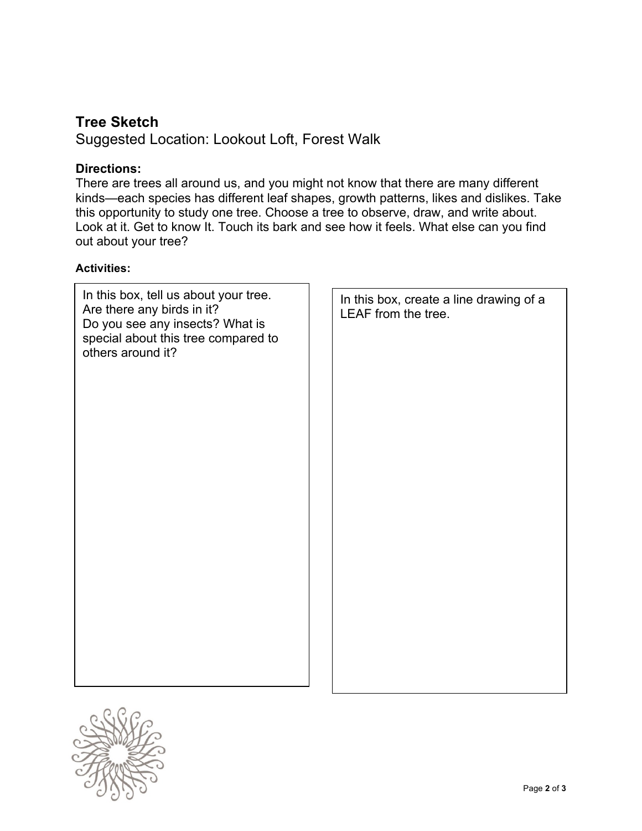# **Tree Sketch**

Suggested Location: Lookout Loft, Forest Walk

# **Directions:**

There are trees all around us, and you might not know that there are many different kinds—each species has different leaf shapes, growth patterns, likes and dislikes. Take this opportunity to study one tree. Choose a tree to observe, draw, and write about. Look at it. Get to know It. Touch its bark and see how it feels. What else can you find out about your tree?

# **Activities:**

| In this box, tell us about your tree.<br>Are there any birds in it?<br>Do you see any insects? What is<br>special about this tree compared to<br>others around it? | LEAF from the tree. | In this box, create a line drawing of a |
|--------------------------------------------------------------------------------------------------------------------------------------------------------------------|---------------------|-----------------------------------------|
|                                                                                                                                                                    |                     |                                         |
|                                                                                                                                                                    |                     |                                         |
|                                                                                                                                                                    |                     |                                         |
|                                                                                                                                                                    |                     |                                         |